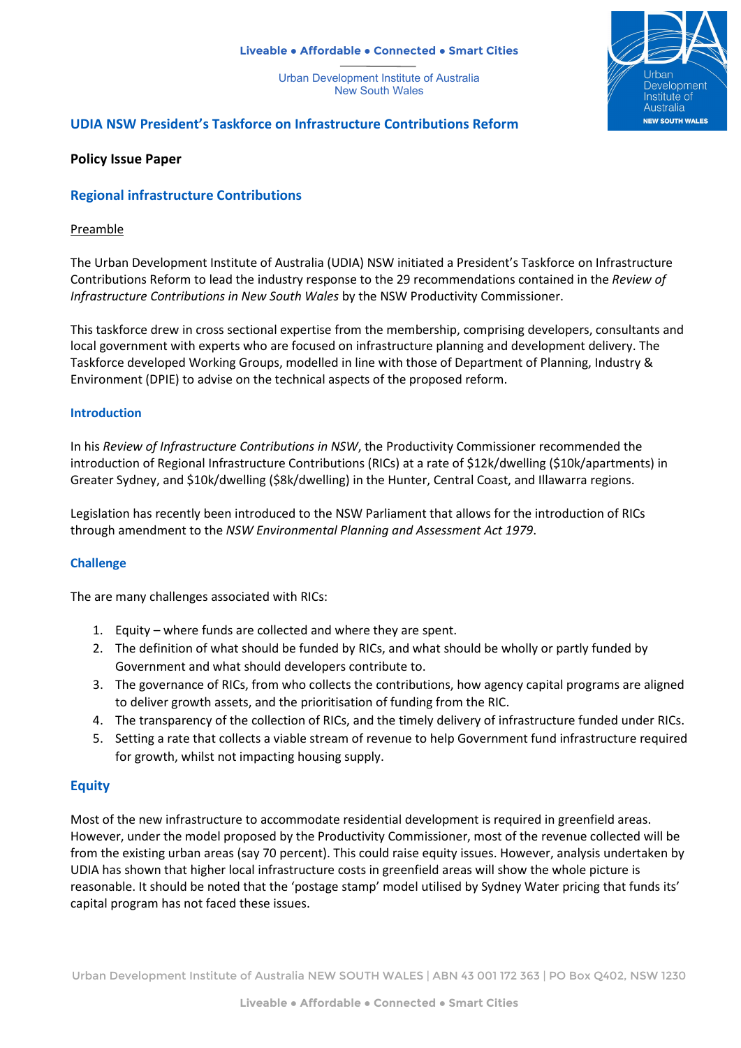#### **Liveable ● Affordable ● Connected ● Smart Cities**

Urban Development Institute of Australia New South Wales



# **UDIA NSW President's Taskforce on Infrastructure Contributions Reform**

### **Policy Issue Paper**

## **Regional infrastructure Contributions**

### Preamble

The Urban Development Institute of Australia (UDIA) NSW initiated a President's Taskforce on Infrastructure Contributions Reform to lead the industry response to the 29 recommendations contained in the *Review of Infrastructure Contributions in New South Wales* by the NSW Productivity Commissioner.

This taskforce drew in cross sectional expertise from the membership, comprising developers, consultants and local government with experts who are focused on infrastructure planning and development delivery. The Taskforce developed Working Groups, modelled in line with those of Department of Planning, Industry & Environment (DPIE) to advise on the technical aspects of the proposed reform.

### **Introduction**

In his *Review of Infrastructure Contributions in NSW*, the Productivity Commissioner recommended the introduction of Regional Infrastructure Contributions (RICs) at a rate of \$12k/dwelling (\$10k/apartments) in Greater Sydney, and \$10k/dwelling (\$8k/dwelling) in the Hunter, Central Coast, and Illawarra regions.

Legislation has recently been introduced to the NSW Parliament that allows for the introduction of RICs through amendment to the *NSW Environmental Planning and Assessment Act 1979*.

## **Challenge**

The are many challenges associated with RICs:

- 1. Equity where funds are collected and where they are spent.
- 2. The definition of what should be funded by RICs, and what should be wholly or partly funded by Government and what should developers contribute to.
- 3. The governance of RICs, from who collects the contributions, how agency capital programs are aligned to deliver growth assets, and the prioritisation of funding from the RIC.
- 4. The transparency of the collection of RICs, and the timely delivery of infrastructure funded under RICs.
- 5. Setting a rate that collects a viable stream of revenue to help Government fund infrastructure required for growth, whilst not impacting housing supply.

## **Equity**

Most of the new infrastructure to accommodate residential development is required in greenfield areas. However, under the model proposed by the Productivity Commissioner, most of the revenue collected will be from the existing urban areas (say 70 percent). This could raise equity issues. However, analysis undertaken by UDIA has shown that higher local infrastructure costs in greenfield areas will show the whole picture is reasonable. It should be noted that the 'postage stamp' model utilised by Sydney Water pricing that funds its' capital program has not faced these issues.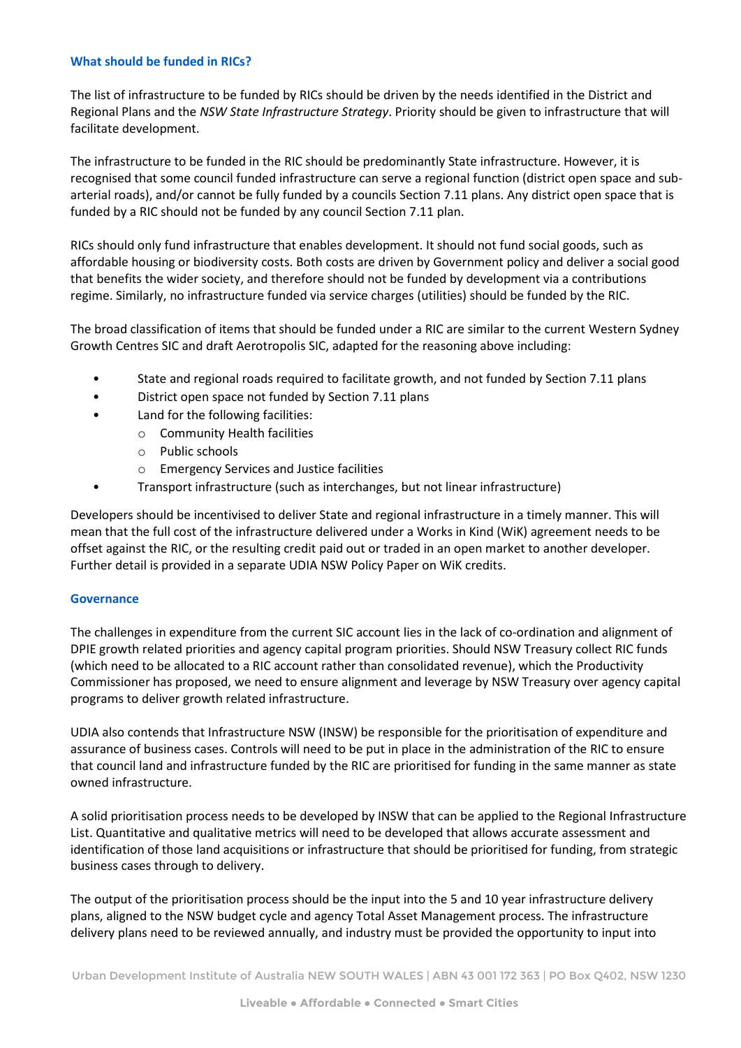### **What should be funded in RICs?**

The list of infrastructure to be funded by RICs should be driven by the needs identified in the District and Regional Plans and the *NSW State Infrastructure Strategy*. Priority should be given to infrastructure that will facilitate development.

The infrastructure to be funded in the RIC should be predominantly State infrastructure. However, it is recognised that some council funded infrastructure can serve a regional function (district open space and subarterial roads), and/or cannot be fully funded by a councils Section 7.11 plans. Any district open space that is funded by a RIC should not be funded by any council Section 7.11 plan.

RICs should only fund infrastructure that enables development. It should not fund social goods, such as affordable housing or biodiversity costs. Both costs are driven by Government policy and deliver a social good that benefits the wider society, and therefore should not be funded by development via a contributions regime. Similarly, no infrastructure funded via service charges (utilities) should be funded by the RIC.

The broad classification of items that should be funded under a RIC are similar to the current Western Sydney Growth Centres SIC and draft Aerotropolis SIC, adapted for the reasoning above including:

- State and regional roads required to facilitate growth, and not funded by Section 7.11 plans
- District open space not funded by Section 7.11 plans
- Land for the following facilities:
	- o Community Health facilities
	- o Public schools
	- o Emergency Services and Justice facilities
- Transport infrastructure (such as interchanges, but not linear infrastructure)

Developers should be incentivised to deliver State and regional infrastructure in a timely manner. This will mean that the full cost of the infrastructure delivered under a Works in Kind (WiK) agreement needs to be offset against the RIC, or the resulting credit paid out or traded in an open market to another developer. Further detail is provided in a separate UDIA NSW Policy Paper on WiK credits.

### **Governance**

The challenges in expenditure from the current SIC account lies in the lack of co-ordination and alignment of DPIE growth related priorities and agency capital program priorities. Should NSW Treasury collect RIC funds (which need to be allocated to a RIC account rather than consolidated revenue), which the Productivity Commissioner has proposed, we need to ensure alignment and leverage by NSW Treasury over agency capital programs to deliver growth related infrastructure.

UDIA also contends that Infrastructure NSW (INSW) be responsible for the prioritisation of expenditure and assurance of business cases. Controls will need to be put in place in the administration of the RIC to ensure that council land and infrastructure funded by the RIC are prioritised for funding in the same manner as state owned infrastructure.

A solid prioritisation process needs to be developed by INSW that can be applied to the Regional Infrastructure List. Quantitative and qualitative metrics will need to be developed that allows accurate assessment and identification of those land acquisitions or infrastructure that should be prioritised for funding, from strategic business cases through to delivery.

The output of the prioritisation process should be the input into the 5 and 10 year infrastructure delivery plans, aligned to the NSW budget cycle and agency Total Asset Management process. The infrastructure delivery plans need to be reviewed annually, and industry must be provided the opportunity to input into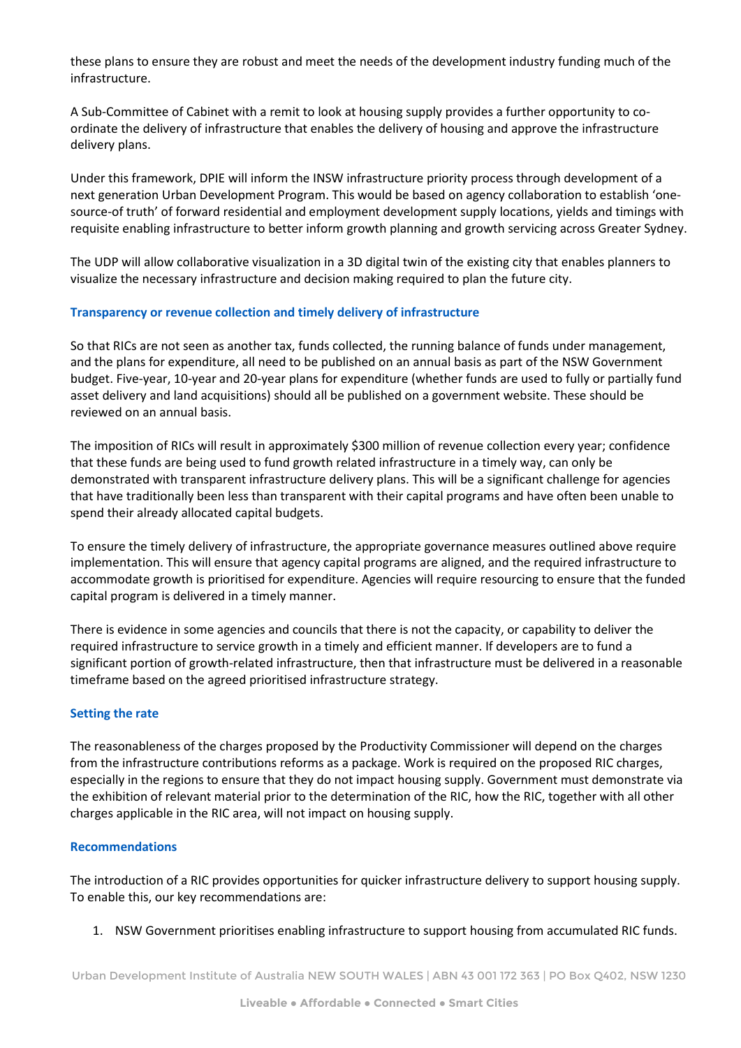these plans to ensure they are robust and meet the needs of the development industry funding much of the infrastructure.

A Sub-Committee of Cabinet with a remit to look at housing supply provides a further opportunity to coordinate the delivery of infrastructure that enables the delivery of housing and approve the infrastructure delivery plans.

Under this framework, DPIE will inform the INSW infrastructure priority process through development of a next generation Urban Development Program. This would be based on agency collaboration to establish 'onesource-of truth' of forward residential and employment development supply locations, yields and timings with requisite enabling infrastructure to better inform growth planning and growth servicing across Greater Sydney.

The UDP will allow collaborative visualization in a 3D digital twin of the existing city that enables planners to visualize the necessary infrastructure and decision making required to plan the future city.

### **Transparency or revenue collection and timely delivery of infrastructure**

So that RICs are not seen as another tax, funds collected, the running balance of funds under management, and the plans for expenditure, all need to be published on an annual basis as part of the NSW Government budget. Five-year, 10-year and 20-year plans for expenditure (whether funds are used to fully or partially fund asset delivery and land acquisitions) should all be published on a government website. These should be reviewed on an annual basis.

The imposition of RICs will result in approximately \$300 million of revenue collection every year; confidence that these funds are being used to fund growth related infrastructure in a timely way, can only be demonstrated with transparent infrastructure delivery plans. This will be a significant challenge for agencies that have traditionally been less than transparent with their capital programs and have often been unable to spend their already allocated capital budgets.

To ensure the timely delivery of infrastructure, the appropriate governance measures outlined above require implementation. This will ensure that agency capital programs are aligned, and the required infrastructure to accommodate growth is prioritised for expenditure. Agencies will require resourcing to ensure that the funded capital program is delivered in a timely manner.

There is evidence in some agencies and councils that there is not the capacity, or capability to deliver the required infrastructure to service growth in a timely and efficient manner. If developers are to fund a significant portion of growth-related infrastructure, then that infrastructure must be delivered in a reasonable timeframe based on the agreed prioritised infrastructure strategy.

### **Setting the rate**

The reasonableness of the charges proposed by the Productivity Commissioner will depend on the charges from the infrastructure contributions reforms as a package. Work is required on the proposed RIC charges, especially in the regions to ensure that they do not impact housing supply. Government must demonstrate via the exhibition of relevant material prior to the determination of the RIC, how the RIC, together with all other charges applicable in the RIC area, will not impact on housing supply.

### **Recommendations**

The introduction of a RIC provides opportunities for quicker infrastructure delivery to support housing supply. To enable this, our key recommendations are:

1. NSW Government prioritises enabling infrastructure to support housing from accumulated RIC funds.

Urban Development Institute of Australia NEW SOUTH WALES | ABN 43 001 172 363 | PO Box Q402, NSW 1230